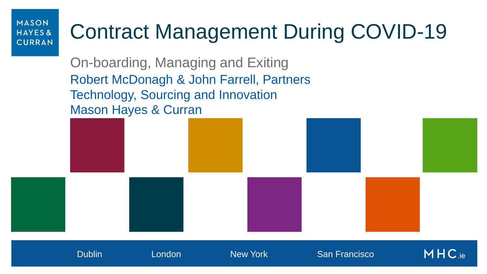# Contract Management During COVID-19

On-boarding, Managing and Exiting Robert McDonagh & John Farrell, Partners Technology, Sourcing and Innovation Mason Hayes & Curran



 $MHC_{\rm ie}$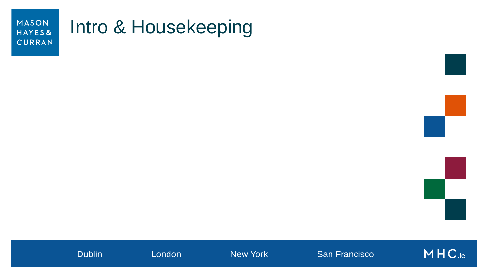## Intro & Housekeeping

Dublin London New York San Francisco

MHC.ie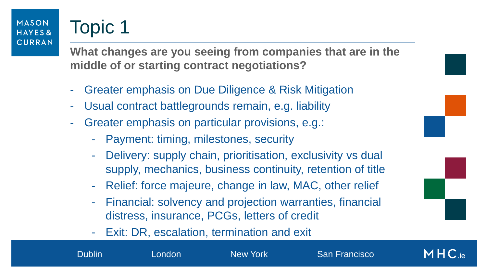## Topic 1

**What changes are you seeing from companies that are in the middle of or starting contract negotiations?**

- Greater emphasis on Due Diligence & Risk Mitigation
- Usual contract battlegrounds remain, e.g. liability
- Greater emphasis on particular provisions, e.g.:
	- Payment: timing, milestones, security
	- Delivery: supply chain, prioritisation, exclusivity vs dual supply, mechanics, business continuity, retention of title
	- Relief: force majeure, change in law, MAC, other relief
	- Financial: solvency and projection warranties, financial distress, insurance, PCGs, letters of credit

 $MHC$  ie

Dublin London New York San Francisco

- Exit: DR, escalation, termination and exit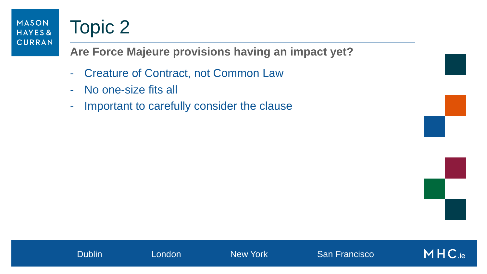## Topic 2

**Are Force Majeure provisions having an impact yet?**

- Creature of Contract, not Common Law
- No one-size fits all
- Important to carefully consider the clause

MHC.ie

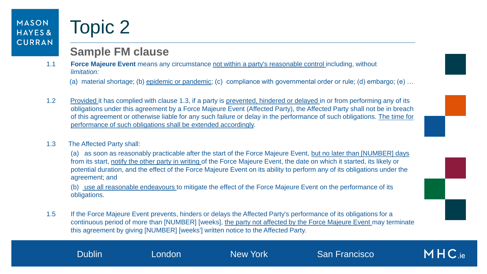## Topic 2

### **Sample FM clause**

1.1 **Force Majeure Event** means any circumstance not within a party's reasonable control including, without *limitation:*

(a) material shortage; (b) epidemic or pandemic; (c) compliance with governmental order or rule; (d) embargo; (e) …

- 1.2 Provided it has complied with clause 1.3, if a party is prevented, hindered or delayed in or from performing any of its obligations under this agreement by a Force Majeure Event (Affected Party), the Affected Party shall not be in breach of this agreement or otherwise liable for any such failure or delay in the performance of such obligations. The time for performance of such obligations shall be extended accordingly.
- 1.3 The Affected Party shall:

(a) as soon as reasonably practicable after the start of the Force Majeure Event, but no later than [NUMBER] days from its start, notify the other party in writing of the Force Majeure Event, the date on which it started, its likely or potential duration, and the effect of the Force Majeure Event on its ability to perform any of its obligations under the agreement; and

(b) use all reasonable endeavours to mitigate the effect of the Force Majeure Event on the performance of its obligations.

1.5 If the Force Majeure Event prevents, hinders or delays the Affected Party's performance of its obligations for a continuous period of more than [NUMBER] [weeks], the party not affected by the Force Majeure Event may terminate this agreement by giving [NUMBER] [weeks'] written notice to the Affected Party.

Dublin London New York San Francisco

 $MHC_{ie}$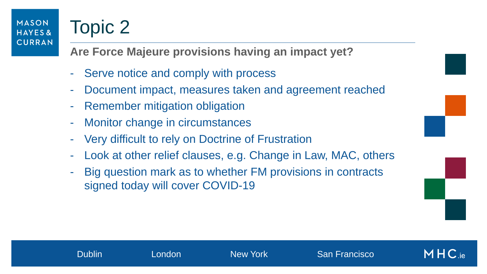# Topic 2

**Are Force Majeure provisions having an impact yet?**

- Serve notice and comply with process
- Document impact, measures taken and agreement reached
- Remember mitigation obligation
- Monitor change in circumstances
- Very difficult to rely on Doctrine of Frustration
- Look at other relief clauses, e.g. Change in Law, MAC, others
- Big question mark as to whether FM provisions in contracts signed today will cover COVID-19



 $MHC$  ie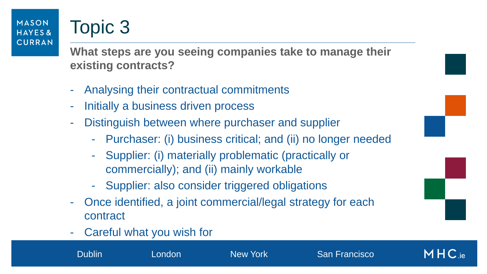## Topic 3

**What steps are you seeing companies take to manage their existing contracts?**

- Analysing their contractual commitments
- Initially a business driven process
- Distinguish between where purchaser and supplier
	- Purchaser: (i) business critical; and (ii) no longer needed
	- Supplier: (i) materially problematic (practically or commercially); and (ii) mainly workable
	- Supplier: also consider triggered obligations
- Once identified, a joint commercial/legal strategy for each contract
- Careful what you wish for



Dublin London New York San Francisco

 $MHC_{ie}$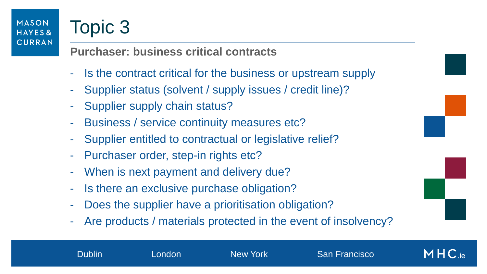## Topic 3

## **Purchaser: business critical contracts**

- Is the contract critical for the business or upstream supply
- Supplier status (solvent / supply issues / credit line)?
- Supplier supply chain status?
- Business / service continuity measures etc?
- Supplier entitled to contractual or legislative relief?
- Purchaser order, step-in rights etc?
- When is next payment and delivery due?
- Is there an exclusive purchase obligation?
- Does the supplier have a prioritisation obligation?
- Are products / materials protected in the event of insolvency?

 $MHC_{ie}$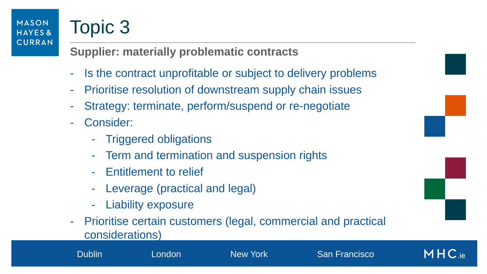# Topic 3

## **Supplier: materially problematic contracts**

- Is the contract unprofitable or subject to delivery problems
- Prioritise resolution of downstream supply chain issues
- Strategy: terminate, perform/suspend or re-negotiate
- Consider:
	- Triggered obligations
	- Term and termination and suspension rights
	- Entitlement to relief
	- Leverage (practical and legal)
	- Liability exposure
- Prioritise certain customers (legal, commercial and practical considerations)

Dublin London New York San Francisco



 $MHC_{ie}$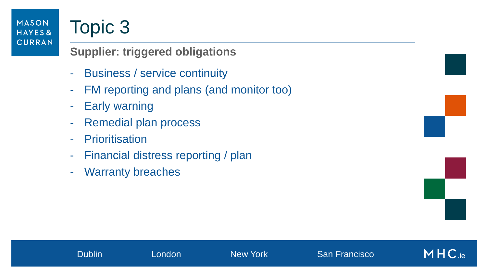## Topic 3

**Supplier: triggered obligations**

- Business / service continuity
- FM reporting and plans (and monitor too)
- Early warning
- Remedial plan process
- Prioritisation
- Financial distress reporting / plan
- Warranty breaches



 $MHC_{\text{.ie}}$ 

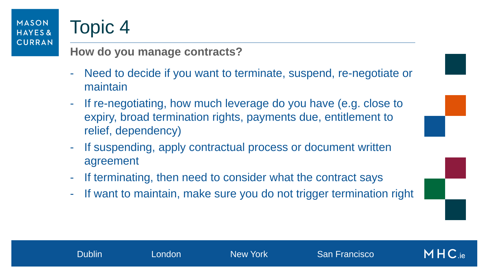## Topic 4

### **How do you manage contracts?**

- Need to decide if you want to terminate, suspend, re-negotiate or maintain
- If re-negotiating, how much leverage do you have (e.g. close to expiry, broad termination rights, payments due, entitlement to relief, dependency)
- If suspending, apply contractual process or document written agreement
- If terminating, then need to consider what the contract says
- If want to maintain, make sure you do not trigger termination right



 $MHC_{\text{ie}}$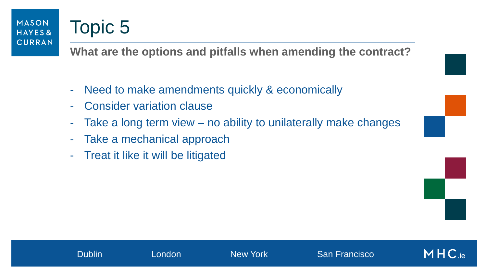## Topic 5

**What are the options and pitfalls when amending the contract?**

- Need to make amendments quickly & economically
- Consider variation clause
- Take a long term view no ability to unilaterally make changes
- Take a mechanical approach
- Treat it like it will be litigated

 $MHC_{\rm ie}$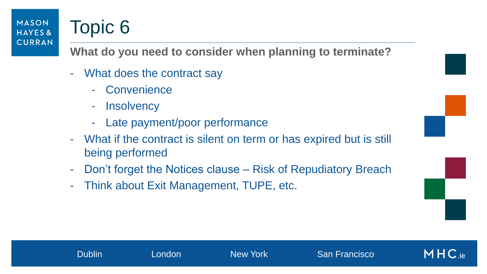# Topic 6

**What do you need to consider when planning to terminate?**

- What does the contract say
	- **Convenience**
	- **Insolvency**
	- Late payment/poor performance
- What if the contract is silent on term or has expired but is still being performed
- Don't forget the Notices clause Risk of Repudiatory Breach
- Think about Exit Management, TUPE, etc.



 $MHC_{\rm ie}$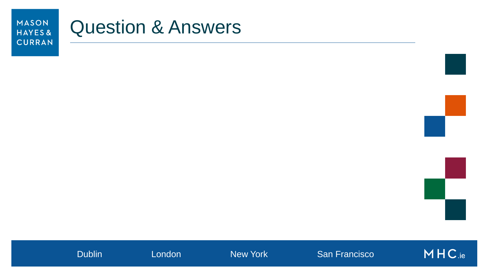## Question & Answers



Dublin **London** New York San Francisco

MHC.ie